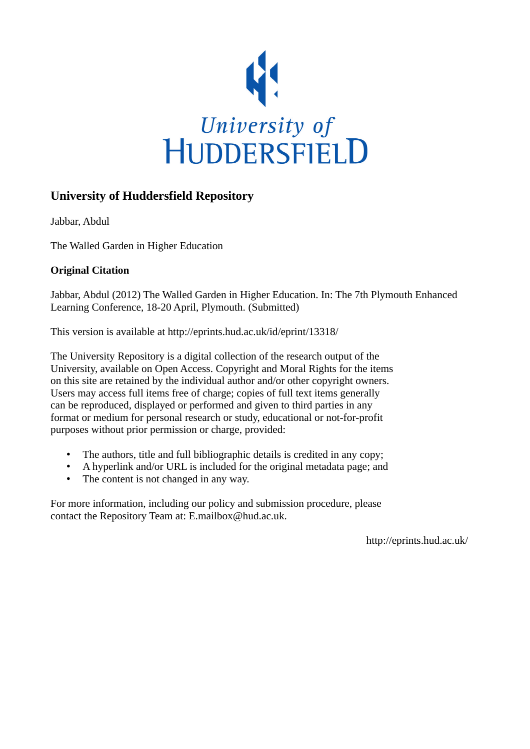

### **University of Huddersfield Repository**

Jabbar, Abdul

The Walled Garden in Higher Education

### **Original Citation**

Jabbar, Abdul (2012) The Walled Garden in Higher Education. In: The 7th Plymouth Enhanced Learning Conference, 18-20 April, Plymouth. (Submitted)

This version is available at http://eprints.hud.ac.uk/id/eprint/13318/

The University Repository is a digital collection of the research output of the University, available on Open Access. Copyright and Moral Rights for the items on this site are retained by the individual author and/or other copyright owners. Users may access full items free of charge; copies of full text items generally can be reproduced, displayed or performed and given to third parties in any format or medium for personal research or study, educational or not-for-profit purposes without prior permission or charge, provided:

- The authors, title and full bibliographic details is credited in any copy;
- A hyperlink and/or URL is included for the original metadata page; and
- The content is not changed in any way.

For more information, including our policy and submission procedure, please contact the Repository Team at: E.mailbox@hud.ac.uk.

http://eprints.hud.ac.uk/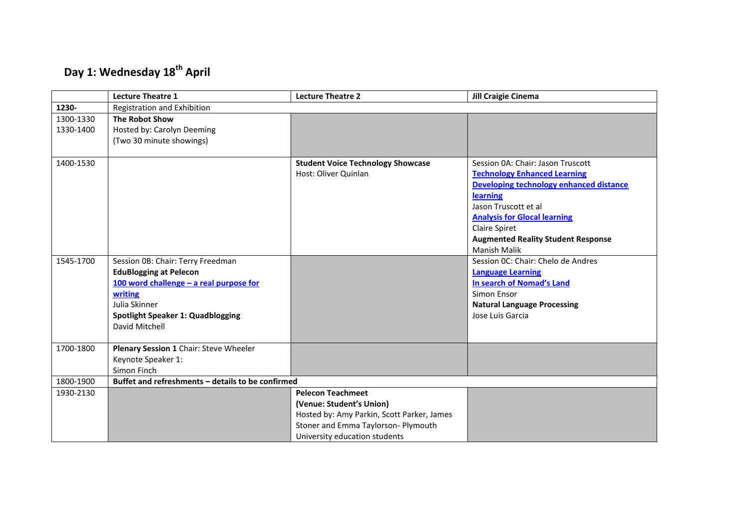# **Day 1: Wednesday 18th April**

|           | <b>Lecture Theatre 1</b>                          | <b>Lecture Theatre 2</b>                   | <b>Jill Craigie Cinema</b>                |  |  |
|-----------|---------------------------------------------------|--------------------------------------------|-------------------------------------------|--|--|
| 1230-     | Registration and Exhibition                       |                                            |                                           |  |  |
| 1300-1330 | <b>The Robot Show</b>                             |                                            |                                           |  |  |
| 1330-1400 | Hosted by: Carolyn Deeming                        |                                            |                                           |  |  |
|           | (Two 30 minute showings)                          |                                            |                                           |  |  |
|           |                                                   |                                            |                                           |  |  |
| 1400-1530 |                                                   | <b>Student Voice Technology Showcase</b>   | Session 0A: Chair: Jason Truscott         |  |  |
|           |                                                   | Host: Oliver Quinlan                       | <b>Technology Enhanced Learning</b>       |  |  |
|           |                                                   |                                            | Developing technology enhanced distance   |  |  |
|           |                                                   |                                            | learning                                  |  |  |
|           |                                                   |                                            | Jason Truscott et al                      |  |  |
|           |                                                   |                                            | <b>Analysis for Glocal learning</b>       |  |  |
|           |                                                   |                                            | Claire Spiret                             |  |  |
|           |                                                   |                                            | <b>Augmented Reality Student Response</b> |  |  |
|           |                                                   |                                            | <b>Manish Malik</b>                       |  |  |
| 1545-1700 | Session 0B: Chair: Terry Freedman                 |                                            | Session OC: Chair: Chelo de Andres        |  |  |
|           | <b>EduBlogging at Pelecon</b>                     |                                            | <b>Language Learning</b>                  |  |  |
|           | 100 word challenge - a real purpose for           |                                            | In search of Nomad's Land                 |  |  |
|           | writing                                           |                                            | Simon Ensor                               |  |  |
|           | Julia Skinner                                     |                                            | <b>Natural Language Processing</b>        |  |  |
|           | Spotlight Speaker 1: Quadblogging                 |                                            | Jose Luis Garcia                          |  |  |
|           | David Mitchell                                    |                                            |                                           |  |  |
|           |                                                   |                                            |                                           |  |  |
| 1700-1800 | Plenary Session 1 Chair: Steve Wheeler            |                                            |                                           |  |  |
|           | Keynote Speaker 1:                                |                                            |                                           |  |  |
|           | Simon Finch                                       |                                            |                                           |  |  |
| 1800-1900 | Buffet and refreshments - details to be confirmed |                                            |                                           |  |  |
| 1930-2130 |                                                   | <b>Pelecon Teachmeet</b>                   |                                           |  |  |
|           |                                                   | (Venue: Student's Union)                   |                                           |  |  |
|           |                                                   | Hosted by: Amy Parkin, Scott Parker, James |                                           |  |  |
|           |                                                   | Stoner and Emma Taylorson- Plymouth        |                                           |  |  |
|           |                                                   | University education students              |                                           |  |  |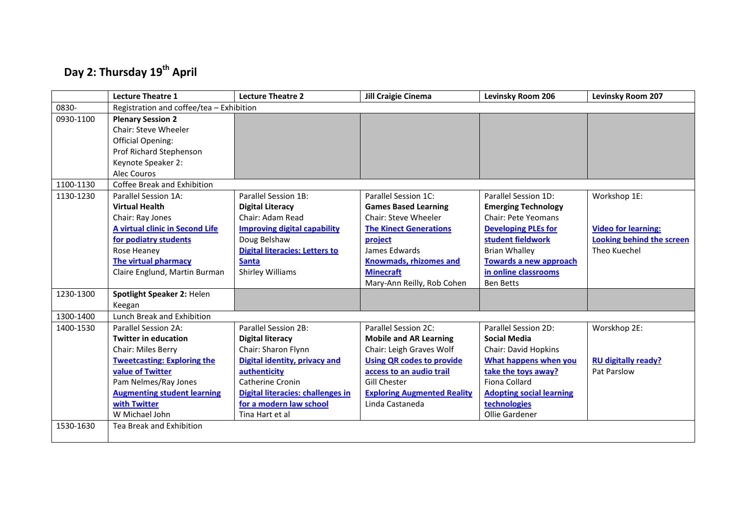# **Day 2: Thursday 19th April**

|           | <b>Lecture Theatre 1</b>                 | <b>Lecture Theatre 2</b>                 | <b>Jill Craigie Cinema</b>         | Levinsky Room 206               | Levinsky Room 207                |
|-----------|------------------------------------------|------------------------------------------|------------------------------------|---------------------------------|----------------------------------|
| 0830-     | Registration and coffee/tea - Exhibition |                                          |                                    |                                 |                                  |
| 0930-1100 | <b>Plenary Session 2</b>                 |                                          |                                    |                                 |                                  |
|           | <b>Chair: Steve Wheeler</b>              |                                          |                                    |                                 |                                  |
|           | <b>Official Opening:</b>                 |                                          |                                    |                                 |                                  |
|           | Prof Richard Stephenson                  |                                          |                                    |                                 |                                  |
|           | Keynote Speaker 2:                       |                                          |                                    |                                 |                                  |
|           | Alec Couros                              |                                          |                                    |                                 |                                  |
| 1100-1130 | Coffee Break and Exhibition              |                                          |                                    |                                 |                                  |
| 1130-1230 | Parallel Session 1A:                     | Parallel Session 1B:                     | Parallel Session 1C:               | Parallel Session 1D:            | Workshop 1E:                     |
|           | <b>Virtual Health</b>                    | <b>Digital Literacy</b>                  | <b>Games Based Learning</b>        | <b>Emerging Technology</b>      |                                  |
|           | Chair: Ray Jones                         | Chair: Adam Read                         | Chair: Steve Wheeler               | Chair: Pete Yeomans             |                                  |
|           | A virtual clinic in Second Life          | <b>Improving digital capability</b>      | <b>The Kinect Generations</b>      | <b>Developing PLEs for</b>      | <b>Video for learning:</b>       |
|           | for podiatry students                    | Doug Belshaw                             | project                            | student fieldwork               | <b>Looking behind the screen</b> |
|           | Rose Heaney                              | <b>Digital literacies: Letters to</b>    | James Edwards                      | <b>Brian Whalley</b>            | Theo Kuechel                     |
|           | <b>The virtual pharmacy</b>              | <b>Santa</b>                             | <b>Knowmads, rhizomes and</b>      | <b>Towards a new approach</b>   |                                  |
|           | Claire Englund, Martin Burman            | <b>Shirley Williams</b>                  | <b>Minecraft</b>                   | in online classrooms            |                                  |
|           |                                          |                                          | Mary-Ann Reilly, Rob Cohen         | <b>Ben Betts</b>                |                                  |
| 1230-1300 | Spotlight Speaker 2: Helen               |                                          |                                    |                                 |                                  |
|           | Keegan                                   |                                          |                                    |                                 |                                  |
| 1300-1400 | Lunch Break and Exhibition               |                                          |                                    |                                 |                                  |
| 1400-1530 | Parallel Session 2A:                     | <b>Parallel Session 2B:</b>              | Parallel Session 2C:               | Parallel Session 2D:            | Worskhop 2E:                     |
|           | <b>Twitter in education</b>              | <b>Digital literacy</b>                  | <b>Mobile and AR Learning</b>      | <b>Social Media</b>             |                                  |
|           | Chair: Miles Berry                       | Chair: Sharon Flynn                      | Chair: Leigh Graves Wolf           | Chair: David Hopkins            |                                  |
|           | <b>Tweetcasting: Exploring the</b>       | Digital identity, privacy and            | <b>Using QR codes to provide</b>   | What happens when you           | <b>RU digitally ready?</b>       |
|           | value of Twitter                         | authenticity                             | access to an audio trail           | take the toys away?             | Pat Parslow                      |
|           | Pam Nelmes/Ray Jones                     | Catherine Cronin                         | <b>Gill Chester</b>                | Fiona Collard                   |                                  |
|           | <b>Augmenting student learning</b>       | <b>Digital literacies: challenges in</b> | <b>Exploring Augmented Reality</b> | <b>Adopting social learning</b> |                                  |
|           | with Twitter                             | for a modern law school                  | Linda Castaneda                    | technologies                    |                                  |
|           | W Michael John                           | Tina Hart et al                          |                                    | Ollie Gardener                  |                                  |
| 1530-1630 | Tea Break and Exhibition                 |                                          |                                    |                                 |                                  |
|           |                                          |                                          |                                    |                                 |                                  |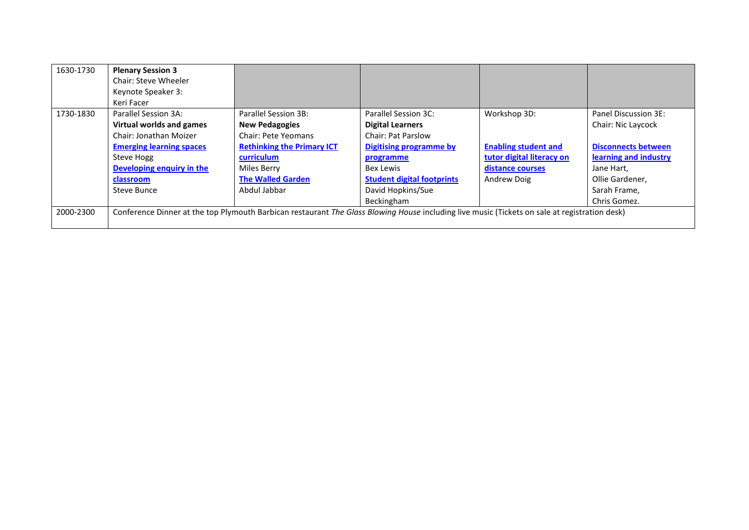| 1630-1730 | <b>Plenary Session 3</b><br>Chair: Steve Wheeler<br>Keynote Speaker 3:<br>Keri Facer                                                          |                                               |                                                 |                             |                                            |
|-----------|-----------------------------------------------------------------------------------------------------------------------------------------------|-----------------------------------------------|-------------------------------------------------|-----------------------------|--------------------------------------------|
| 1730-1830 | Parallel Session 3A:<br>Virtual worlds and games                                                                                              | Parallel Session 3B:<br><b>New Pedagogies</b> | Parallel Session 3C:<br><b>Digital Learners</b> | Workshop 3D:                | Panel Discussion 3E:<br>Chair: Nic Laycock |
|           | Chair: Jonathan Moizer                                                                                                                        | Chair: Pete Yeomans                           | <b>Chair: Pat Parslow</b>                       |                             |                                            |
|           | <b>Emerging learning spaces</b>                                                                                                               | <b>Rethinking the Primary ICT</b>             | <b>Digitising programme by</b>                  | <b>Enabling student and</b> | <b>Disconnects between</b>                 |
|           | Steve Hogg                                                                                                                                    | curriculum                                    | programme                                       | tutor digital literacy on   | learning and industry                      |
|           | Developing enquiry in the                                                                                                                     | Miles Berry                                   | Bex Lewis                                       | distance courses            | Jane Hart,                                 |
|           | classroom                                                                                                                                     | <b>The Walled Garden</b>                      | <b>Student digital footprints</b>               | Andrew Doig                 | Ollie Gardener,                            |
|           | Steve Bunce                                                                                                                                   | Abdul Jabbar                                  | David Hopkins/Sue                               |                             | Sarah Frame,                               |
|           |                                                                                                                                               |                                               | Beckingham                                      |                             | Chris Gomez.                               |
| 2000-2300 | Conference Dinner at the top Plymouth Barbican restaurant The Glass Blowing House including live music (Tickets on sale at registration desk) |                                               |                                                 |                             |                                            |